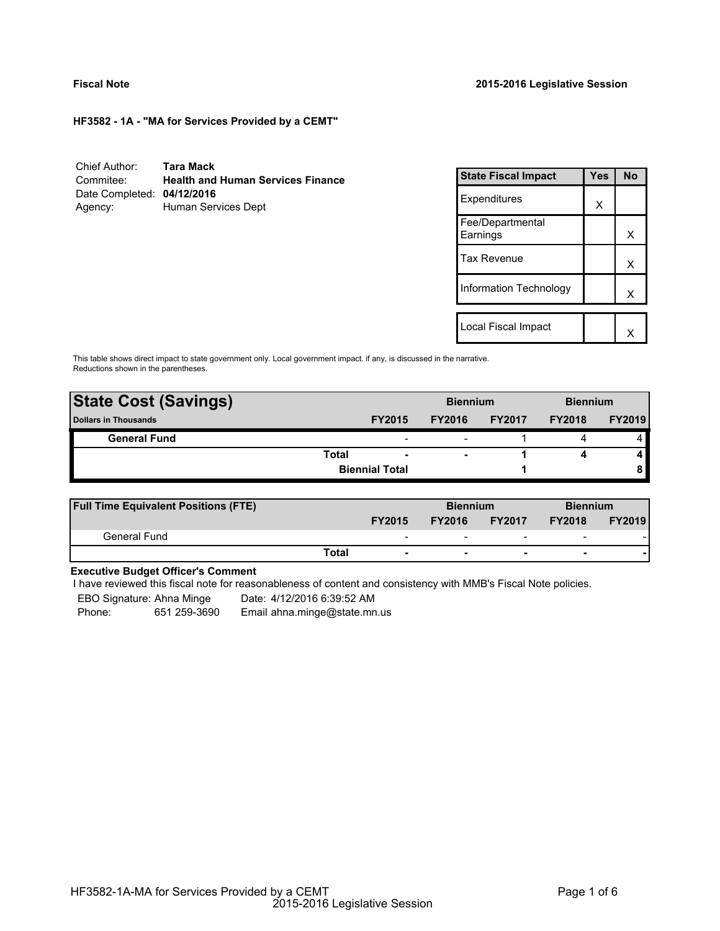**HF3582 - 1A - "MA for Services Provided by a CEMT"**

Chief Author: **Tara Mack** Commitee: **Health and Human Services Finance** Date Completed: **04/12/2016** Agency: Human Services Dept

| <b>State Fiscal Impact</b>   | Yes | N٥ |
|------------------------------|-----|----|
| Expenditures                 | x   |    |
| Fee/Departmental<br>Earnings |     | х  |
| <b>Tax Revenue</b>           |     | x  |
| Information Technology       |     | x  |
|                              |     |    |
| Local Fiscal Impact          |     |    |

This table shows direct impact to state government only. Local government impact. if any, is discussed in the narrative. Reductions shown in the parentheses.

| <b>State Cost (Savings)</b> |                       |                          | <b>Biennium</b> |               | <b>Biennium</b> |               |
|-----------------------------|-----------------------|--------------------------|-----------------|---------------|-----------------|---------------|
| <b>Dollars in Thousands</b> |                       | <b>FY2015</b>            | <b>FY2016</b>   | <b>FY2017</b> | <b>FY2018</b>   | <b>FY2019</b> |
| <b>General Fund</b>         |                       | $\overline{\phantom{0}}$ |                 |               |                 |               |
|                             | <b>Total</b>          | $\overline{\phantom{a}}$ | -               |               |                 |               |
|                             | <b>Biennial Total</b> |                          |                 |               |                 |               |
|                             |                       |                          |                 |               |                 |               |

| <b>Full Time Equivalent Positions (FTE)</b> |                          | <b>Biennium</b> |                                | <b>Biennium</b>          |                                |
|---------------------------------------------|--------------------------|-----------------|--------------------------------|--------------------------|--------------------------------|
|                                             | <b>FY2015</b>            |                 | <b>FY2017</b><br><b>FY2016</b> |                          | <b>FY2019</b><br><b>FY2018</b> |
| General Fund                                | $\overline{\phantom{0}}$ | -               | $\overline{\phantom{0}}$       | $\overline{\phantom{a}}$ |                                |
|                                             | Total                    |                 | $\overline{\phantom{0}}$       | $\overline{\phantom{0}}$ |                                |

## **Executive Budget Officer's Comment**

I have reviewed this fiscal note for reasonableness of content and consistency with MMB's Fiscal Note policies.

EBO Signature: Ahna Minge Date: 4/12/2016 6:39:52 AM

Phone: 651 259-3690 Email ahna.minge@state.mn.us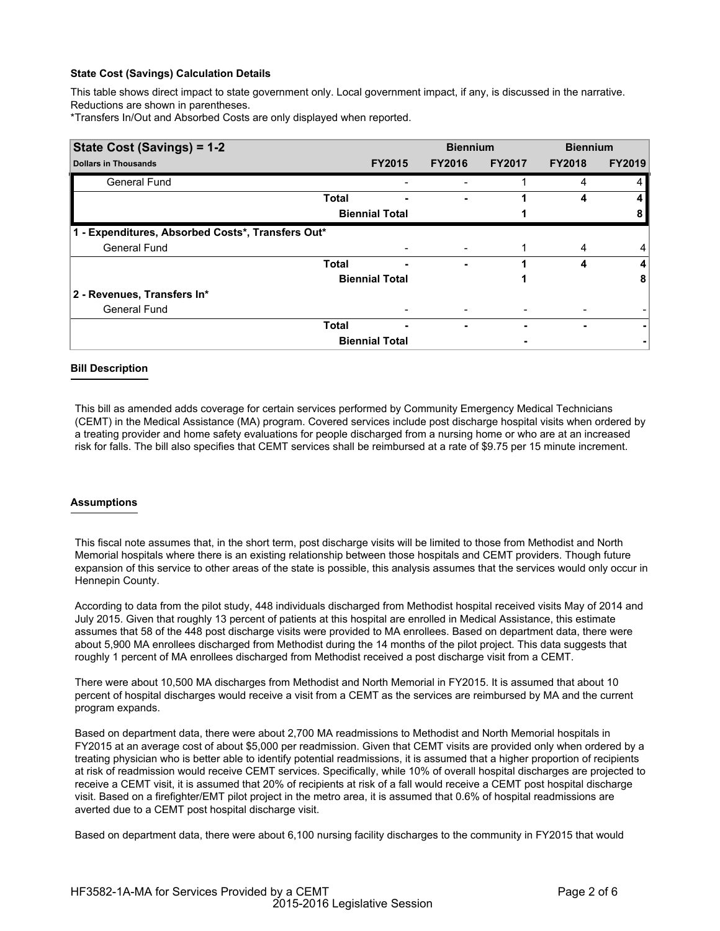### **State Cost (Savings) Calculation Details**

This table shows direct impact to state government only. Local government impact, if any, is discussed in the narrative. Reductions are shown in parentheses.

\*Transfers In/Out and Absorbed Costs are only displayed when reported.

| State Cost (Savings) = 1-2                        |              |                       | <b>Biennium</b> |               | <b>Biennium</b> |               |  |
|---------------------------------------------------|--------------|-----------------------|-----------------|---------------|-----------------|---------------|--|
| <b>Dollars in Thousands</b>                       |              | <b>FY2015</b>         | <b>FY2016</b>   | <b>FY2017</b> | <b>FY2018</b>   | <b>FY2019</b> |  |
| General Fund                                      |              |                       |                 |               | 4               |               |  |
|                                                   | <b>Total</b> |                       |                 |               | 4               |               |  |
|                                                   |              | <b>Biennial Total</b> |                 |               |                 |               |  |
| 1 - Expenditures, Absorbed Costs*, Transfers Out* |              |                       |                 |               |                 |               |  |
| <b>General Fund</b>                               |              |                       |                 |               | 4               | 4             |  |
|                                                   | <b>Total</b> | -                     | ۰               |               | 4               | 4             |  |
|                                                   |              | <b>Biennial Total</b> |                 |               |                 | 8             |  |
| 2 - Revenues, Transfers In*                       |              |                       |                 |               |                 |               |  |
| <b>General Fund</b>                               |              |                       |                 |               |                 |               |  |
|                                                   | <b>Total</b> | ٠                     | -               |               |                 |               |  |
|                                                   |              | <b>Biennial Total</b> |                 |               |                 |               |  |

### **Bill Description**

This bill as amended adds coverage for certain services performed by Community Emergency Medical Technicians (CEMT) in the Medical Assistance (MA) program. Covered services include post discharge hospital visits when ordered by a treating provider and home safety evaluations for people discharged from a nursing home or who are at an increased risk for falls. The bill also specifies that CEMT services shall be reimbursed at a rate of \$9.75 per 15 minute increment.

### **Assumptions**

This fiscal note assumes that, in the short term, post discharge visits will be limited to those from Methodist and North Memorial hospitals where there is an existing relationship between those hospitals and CEMT providers. Though future expansion of this service to other areas of the state is possible, this analysis assumes that the services would only occur in Hennepin County.

According to data from the pilot study, 448 individuals discharged from Methodist hospital received visits May of 2014 and July 2015. Given that roughly 13 percent of patients at this hospital are enrolled in Medical Assistance, this estimate assumes that 58 of the 448 post discharge visits were provided to MA enrollees. Based on department data, there were about 5,900 MA enrollees discharged from Methodist during the 14 months of the pilot project. This data suggests that roughly 1 percent of MA enrollees discharged from Methodist received a post discharge visit from a CEMT.

There were about 10,500 MA discharges from Methodist and North Memorial in FY2015. It is assumed that about 10 percent of hospital discharges would receive a visit from a CEMT as the services are reimbursed by MA and the current program expands.

Based on department data, there were about 2,700 MA readmissions to Methodist and North Memorial hospitals in FY2015 at an average cost of about \$5,000 per readmission. Given that CEMT visits are provided only when ordered by a treating physician who is better able to identify potential readmissions, it is assumed that a higher proportion of recipients at risk of readmission would receive CEMT services. Specifically, while 10% of overall hospital discharges are projected to receive a CEMT visit, it is assumed that 20% of recipients at risk of a fall would receive a CEMT post hospital discharge visit. Based on a firefighter/EMT pilot project in the metro area, it is assumed that 0.6% of hospital readmissions are averted due to a CEMT post hospital discharge visit.

Based on department data, there were about 6,100 nursing facility discharges to the community in FY2015 that would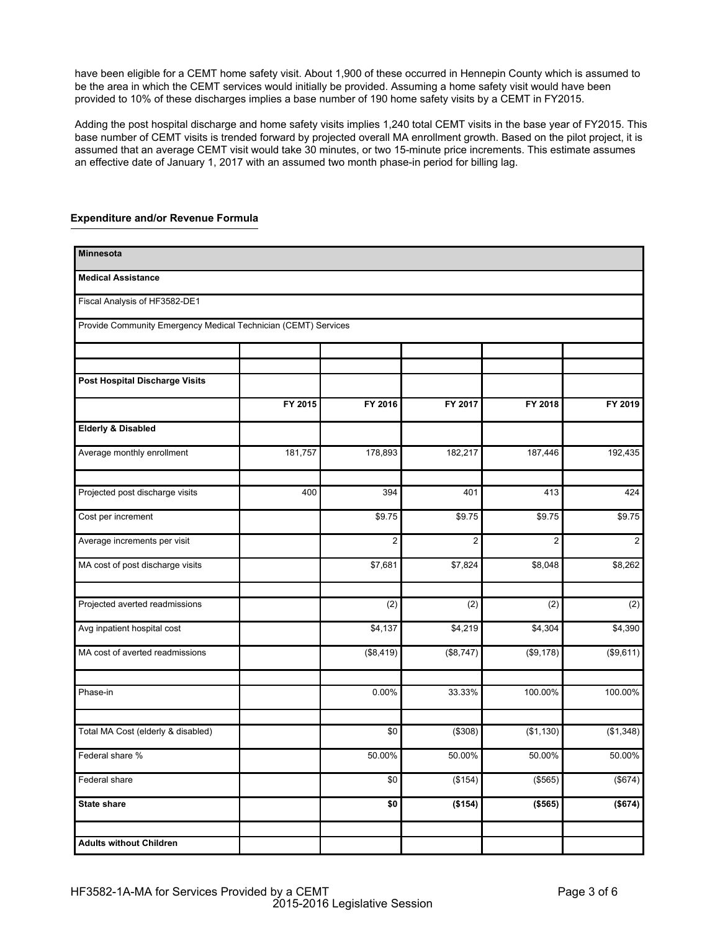have been eligible for a CEMT home safety visit. About 1,900 of these occurred in Hennepin County which is assumed to be the area in which the CEMT services would initially be provided. Assuming a home safety visit would have been provided to 10% of these discharges implies a base number of 190 home safety visits by a CEMT in FY2015.

Adding the post hospital discharge and home safety visits implies 1,240 total CEMT visits in the base year of FY2015. This base number of CEMT visits is trended forward by projected overall MA enrollment growth. Based on the pilot project, it is assumed that an average CEMT visit would take 30 minutes, or two 15-minute price increments. This estimate assumes an effective date of January 1, 2017 with an assumed two month phase-in period for billing lag.

| <b>Minnesota</b>                                               |         |                  |                |                |                |
|----------------------------------------------------------------|---------|------------------|----------------|----------------|----------------|
| <b>Medical Assistance</b>                                      |         |                  |                |                |                |
| Fiscal Analysis of HF3582-DE1                                  |         |                  |                |                |                |
| Provide Community Emergency Medical Technician (CEMT) Services |         |                  |                |                |                |
|                                                                |         |                  |                |                |                |
| Post Hospital Discharge Visits                                 |         |                  |                |                |                |
|                                                                | FY 2015 | FY 2016          | FY 2017        | FY 2018        | FY 2019        |
| <b>Elderly &amp; Disabled</b>                                  |         |                  |                |                |                |
| Average monthly enrollment                                     | 181,757 | 178,893          | 182,217        | 187,446        | 192,435        |
| Projected post discharge visits                                | 400     | 394              | 401            | 413            | 424            |
| Cost per increment                                             |         | \$9.75           | \$9.75         | \$9.75         | \$9.75         |
| Average increments per visit                                   |         | $\overline{2}$   | $\overline{2}$ | $\overline{2}$ | $\overline{2}$ |
| MA cost of post discharge visits                               |         | \$7,681          | \$7,824        | \$8,048        | \$8,262        |
| Projected averted readmissions                                 |         | $\overline{(2)}$ | (2)            | (2)            | (2)            |
| Avg inpatient hospital cost                                    |         | \$4,137          | \$4,219        | \$4,304        | \$4,390        |
| MA cost of averted readmissions                                |         | (\$8,419)        | (\$8,747)      | (\$9,178)      | (\$9,611)      |
| Phase-in                                                       |         | 0.00%            | 33.33%         | 100.00%        | 100.00%        |
| Total MA Cost (elderly & disabled)                             |         | \$0              | (\$308)        | (\$1,130)      | (\$1,348)      |
| Federal share %                                                |         | 50.00%           | 50.00%         | 50.00%         | 50.00%         |
| Federal share                                                  |         | \$0              | (\$154)        | (\$565)        | (\$674)        |
| <b>State share</b>                                             |         | \$0              | (\$154)        | (\$565)        | (\$674)        |
| <b>Adults without Children</b>                                 |         |                  |                |                |                |

# **Expenditure and/or Revenue Formula**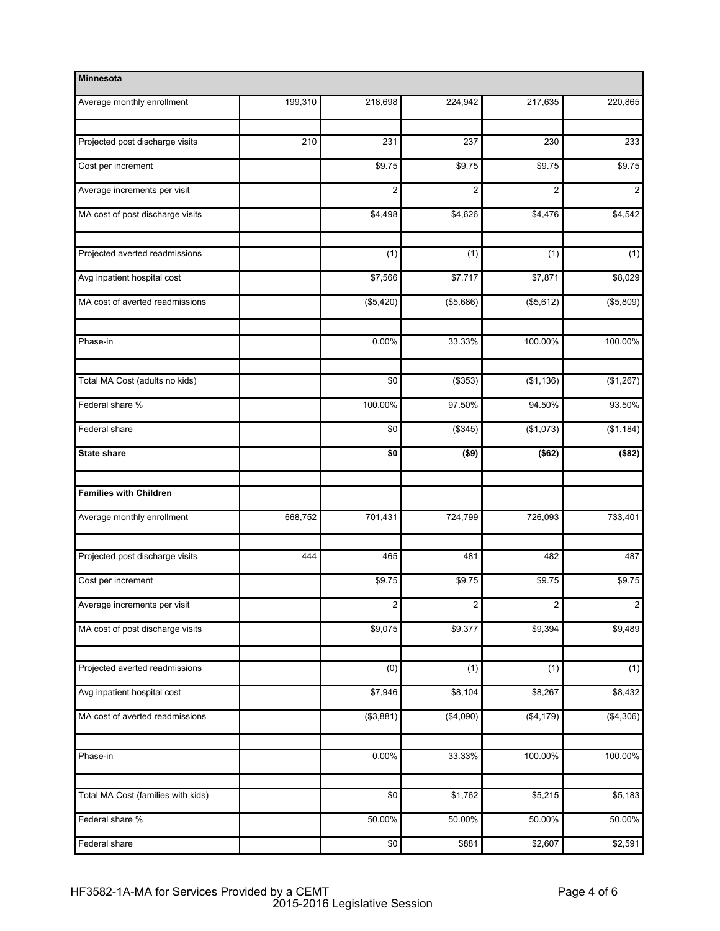| <b>Minnesota</b>                   |         |                |                |                |                |
|------------------------------------|---------|----------------|----------------|----------------|----------------|
| Average monthly enrollment         | 199,310 | 218,698        | 224,942        | 217,635        | 220,865        |
| Projected post discharge visits    | 210     | 231            | 237            | 230            | 233            |
| Cost per increment                 |         | \$9.75         | \$9.75         | \$9.75         | \$9.75         |
| Average increments per visit       |         | $\overline{c}$ | $\overline{2}$ | $\overline{2}$ | $\mathbf 2$    |
| MA cost of post discharge visits   |         | \$4,498        | \$4,626        | \$4,476        | \$4,542        |
| Projected averted readmissions     |         | (1)            | (1)            | (1)            | (1)            |
| Avg inpatient hospital cost        |         | \$7,566        | \$7,717        | \$7,871        | \$8,029        |
| MA cost of averted readmissions    |         | (\$5,420)      | (\$5,686)      | (\$5,612)      | (\$5,809)      |
| Phase-in                           |         | 0.00%          | 33.33%         | 100.00%        | 100.00%        |
| Total MA Cost (adults no kids)     |         | \$0            | (\$353)        | (\$1,136)      | (\$1,267)      |
| Federal share %                    |         | 100.00%        | 97.50%         | 94.50%         | 93.50%         |
| Federal share                      |         | \$0            | (\$345)        | (\$1,073)      | (\$1,184)      |
| <b>State share</b>                 |         | \$0            | ( \$9)         | (\$62)         | (\$82)         |
| <b>Families with Children</b>      |         |                |                |                |                |
| Average monthly enrollment         | 668,752 | 701,431        | 724,799        | 726,093        | 733,401        |
| Projected post discharge visits    | 444     | 465            | 481            | 482            | 487            |
| Cost per increment                 |         | \$9.75         | \$9.75         | \$9.75         | \$9.75         |
| Average increments per visit       |         | 2              | 2              | 2              | $\overline{2}$ |
| MA cost of post discharge visits   |         | \$9,075        | \$9,377        | \$9,394        | \$9,489        |
| Projected averted readmissions     |         | (0)            | (1)            | (1)            | (1)            |
| Avg inpatient hospital cost        |         | \$7,946        | \$8,104        | \$8,267        | \$8,432        |
| MA cost of averted readmissions    |         | (\$3,881)      | (\$4,090)      | (\$4,179)      | (\$4,306)      |
| Phase-in                           |         | 0.00%          | 33.33%         | 100.00%        | 100.00%        |
| Total MA Cost (families with kids) |         | \$0            | \$1,762        | \$5,215        | \$5,183        |
| Federal share %                    |         | 50.00%         | 50.00%         | 50.00%         | 50.00%         |
| Federal share                      |         | \$0            | \$881          | \$2,607        | \$2,591        |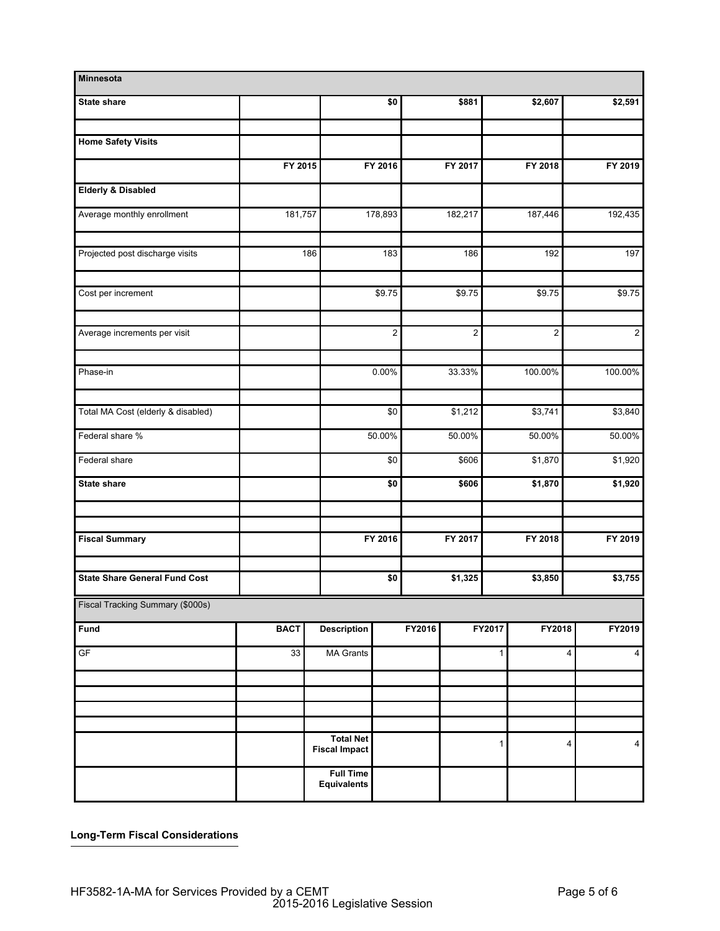| Minnesota                            |                 |                                          |                                  |        |                |              |                |                     |
|--------------------------------------|-----------------|------------------------------------------|----------------------------------|--------|----------------|--------------|----------------|---------------------|
| <b>State share</b>                   |                 |                                          | \$0                              |        | \$881          |              | \$2,607        | \$2,591             |
| <b>Home Safety Visits</b>            |                 |                                          |                                  |        |                |              |                |                     |
|                                      | FY 2015         |                                          | FY 2016                          |        | FY 2017        |              | FY 2018        | FY 2019             |
| <b>Elderly &amp; Disabled</b>        |                 |                                          |                                  |        |                |              |                |                     |
| Average monthly enrollment           | 181,757         |                                          | 178,893                          |        | 182,217        | 187,446      |                | 192,435             |
|                                      |                 |                                          |                                  |        |                |              |                |                     |
| Projected post discharge visits      |                 | 186                                      | 183                              |        | 186            |              | 192            | 197                 |
| Cost per increment                   |                 |                                          | \$9.75                           |        | \$9.75         |              | \$9.75         | \$9.75              |
| Average increments per visit         |                 |                                          | 2 <sup>1</sup><br>$\overline{2}$ |        | $\overline{2}$ |              | $\overline{2}$ |                     |
| Phase-in                             |                 |                                          | $0.00\%$                         |        | 33.33%         | 100.00%      |                | 100.00%             |
|                                      |                 |                                          |                                  |        |                |              |                |                     |
| Total MA Cost (elderly & disabled)   |                 |                                          | \$0                              |        | \$1,212        |              | \$3,741        | \$3,840             |
| Federal share %                      |                 |                                          | 50.00%                           | 50.00% |                | 50.00%       |                | 50.00%              |
| Federal share                        |                 |                                          | \$0                              |        | \$606          |              | \$1,870        | \$1,920             |
| <b>State share</b>                   |                 |                                          | \$0                              |        | \$606          |              | \$1,870        | \$1,920             |
|                                      |                 |                                          |                                  |        |                |              |                |                     |
| <b>Fiscal Summary</b>                |                 |                                          | FY 2016                          |        | FY 2017        |              | FY 2018        | FY 2019             |
| <b>State Share General Fund Cost</b> |                 |                                          | \$0                              |        | \$1,325        |              | \$3,850        | \$3,755             |
| Fiscal Tracking Summary (\$000s)     |                 |                                          |                                  |        |                |              |                |                     |
| Fund                                 | <b>BACT</b>     | <b>Description</b>                       |                                  | FY2016 |                | FY2017       | FY2018         | FY2019              |
| GF                                   | $\overline{33}$ | <b>MA Grants</b>                         |                                  |        |                | $\mathbf{1}$ |                | 4<br>$\overline{4}$ |
|                                      |                 |                                          |                                  |        |                |              |                |                     |
|                                      |                 |                                          |                                  |        |                |              |                |                     |
|                                      |                 | <b>Total Net</b><br><b>Fiscal Impact</b> |                                  |        |                | $\mathbf{1}$ |                | 4<br>$\overline{4}$ |
|                                      |                 | <b>Full Time</b><br><b>Equivalents</b>   |                                  |        |                |              |                |                     |

**Long-Term Fiscal Considerations**